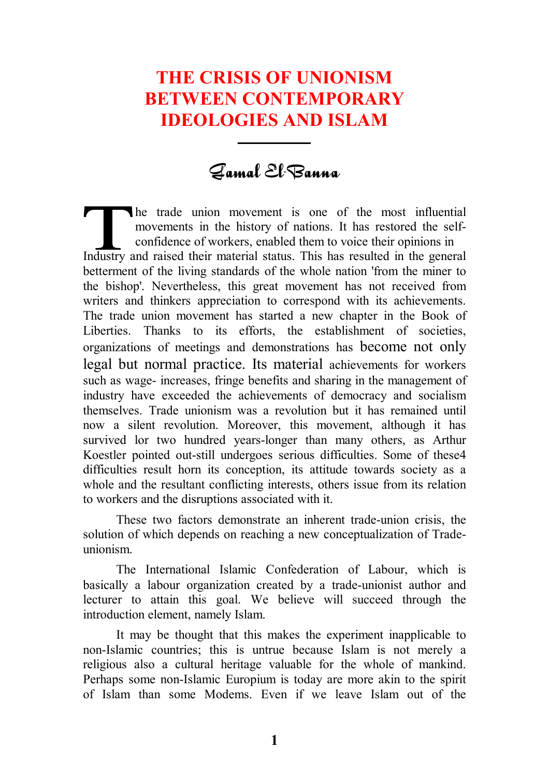# **THE CRISIS OF UNIONISM BETWEEN CONTEMPORARY IDEOLOGIES AND ISLAM**

## Gamal El-Banna

ـــــــــــــــــــ

he trade union movement is one of the most influential movements in the history of nations. It has restored the selfconfidence of workers, enabled them to voice their opinions in Industry and raised their material status. This has resulted in the general betterment of the living standards of the whole nation 'from the miner to the bishop'. Nevertheless, this great movement has not received from writers and thinkers appreciation to correspond with its achievements. The trade union movement has started a new chapter in the Book of Liberties. Thanks to its efforts, the establishment of societies, organizations of meetings and demonstrations has become not only legal but normal practice. Its material achievements for workers such as wage- increases, fringe benefits and sharing in the management of industry have exceeded the achievements of democracy and socialism themselves. Trade unionism was a revolution but it has remained until now a silent revolution. Moreover, this movement, although it has survived lor two hundred years-longer than many others, as Arthur Koestler pointed out-still undergoes serious difficulties. Some of these4 difficulties result horn its conception, its attitude towards society as a whole and the resultant conflicting interests, others issue from its relation to workers and the disruptions associated with it.

These two factors demonstrate an inherent trade-union crisis, the solution of which depends on reaching a new conceptualization of Tradeunionism.

The International Islamic Confederation of Labour, which is basically a labour organization created by a trade-unionist author and lecturer to attain this goal. We believe will succeed through the introduction element, namely Islam.

It may be thought that this makes the experiment inapplicable to non-Islamic countries; this is untrue because Islam is not merely a religious also a cultural heritage valuable for the whole of mankind. Perhaps some non-Islamic Europium is today are more akin to the spirit of Islam than some Modems. Even if we leave Islam out of the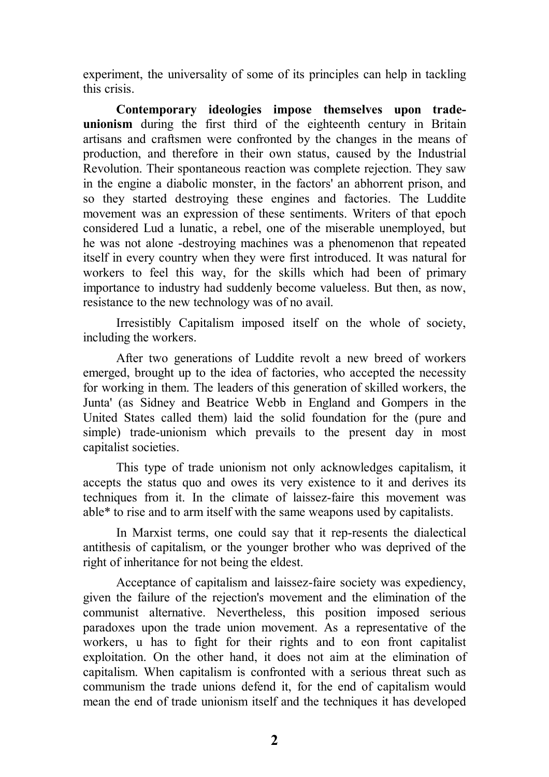experiment, the universality of some of its principles can help in tackling this crisis.

**Contemporary ideologies impose themselves upon tradeunionism** during the first third of the eighteenth century in Britain artisans and craftsmen were confronted by the changes in the means of production, and therefore in their own status, caused by the Industrial Revolution. Their spontaneous reaction was complete rejection. They saw in the engine a diabolic monster, in the factors' an abhorrent prison, and so they started destroying these engines and factories. The Luddite movement was an expression of these sentiments. Writers of that epoch considered Lud a lunatic, a rebel, one of the miserable unemployed, but he was not alone -destroying machines was a phenomenon that repeated itself in every country when they were first introduced. It was natural for workers to feel this way, for the skills which had been of primary importance to industry had suddenly become valueless. But then, as now, resistance to the new technology was of no avail.

Irresistibly Capitalism imposed itself on the whole of society, including the workers.

After two generations of Luddite revolt a new breed of workers emerged, brought up to the idea of factories, who accepted the necessity for working in them. The leaders of this generation of skilled workers, the Junta' (as Sidney and Beatrice Webb in England and Gompers in the United States called them) laid the solid foundation for the (pure and simple) trade-unionism which prevails to the present day in most capitalist societies.

This type of trade unionism not only acknowledges capitalism, it accepts the status quo and owes its very existence to it and derives its techniques from it. In the climate of laissez-faire this movement was able\* to rise and to arm itself with the same weapons used by capitalists.

In Marxist terms, one could say that it rep-resents the dialectical antithesis of capitalism, or the younger brother who was deprived of the right of inheritance for not being the eldest.

Acceptance of capitalism and laissez-faire society was expediency, given the failure of the rejection's movement and the elimination of the communist alternative. Nevertheless, this position imposed serious paradoxes upon the trade union movement. As a representative of the workers, u has to fight for their rights and to eon front capitalist exploitation. On the other hand, it does not aim at the elimination of capitalism. When capitalism is confronted with a serious threat such as communism the trade unions defend it, for the end of capitalism would mean the end of trade unionism itself and the techniques it has developed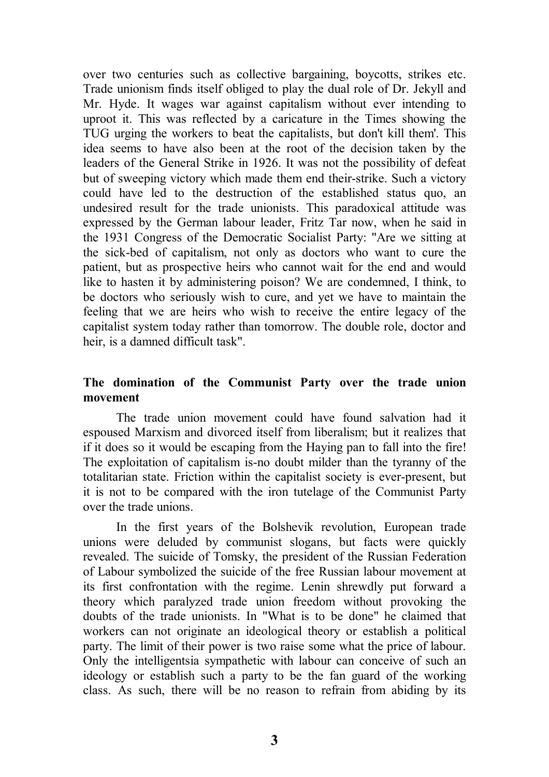over two centuries such as collective bargaining, boycotts, strikes etc. Trade unionism finds itself obliged to play the dual role of Dr. Jekyll and Mr. Hyde. It wages war against capitalism without ever intending to uproot it. This was reflected by a caricature in the Times showing the TUG urging the workers to beat the capitalists, but don't kill them'. This idea seems to have also been at the root of the decision taken by the leaders of the General Strike in 1926. It was not the possibility of defeat but of sweeping victory which made them end their-strike. Such a victory could have led to the destruction of the established status quo, an undesired result for the trade unionists. This paradoxical attitude was expressed by the German labour leader, Fritz Tar now, when he said in the 1931 Congress of the Democratic Socialist Party: "Are we sitting at the sick-bed of capitalism, not only as doctors who want to cure the patient, but as prospective heirs who cannot wait for the end and would like to hasten it by administering poison? We are condemned, I think, to be doctors who seriously wish to cure, and yet we have to maintain the feeling that we are heirs who wish to receive the entire legacy of the capitalist system today rather than tomorrow. The double role, doctor and heir, is a damned difficult task".

#### **The domination of the Communist Party over the trade union movement**

The trade union movement could have found salvation had it espoused Marxism and divorced itself from liberalism; but it realizes that if it does so it would be escaping from the Haying pan to fall into the fire! The exploitation of capitalism is-no doubt milder than the tyranny of the totalitarian state. Friction within the capitalist society is ever-present, but it is not to be compared with the iron tutelage of the Communist Party over the trade unions.

In the first years of the Bolshevik revolution, European trade unions were deluded by communist slogans, but facts were quickly revealed. The suicide of Tomsky, the president of the Russian Federation of Labour symbolized the suicide of the free Russian labour movement at its first confrontation with the regime. Lenin shrewdly put forward a theory which paralyzed trade union freedom without provoking the doubts of the trade unionists. In "What is to be done" he claimed that workers can not originate an ideological theory or establish a political party. The limit of their power is two raise some what the price of labour. Only the intelligentsia sympathetic with labour can conceive of such an ideology or establish such a party to be the fan guard of the working class. As such, there will be no reason to refrain from abiding by its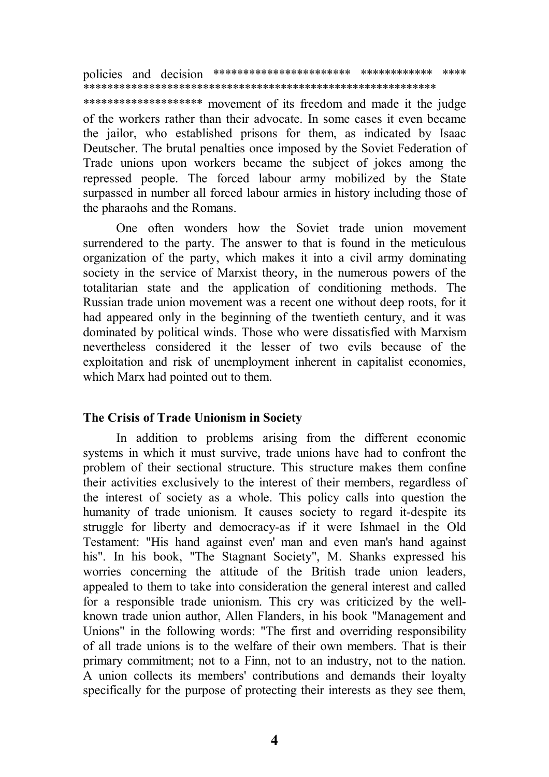policies and decision \*\*\*\*\*\*\*\*\*\*\*\*\*\*\*\*\*\*\*\*\*\*\* \*\*\*\*\*\*\*\*\*\*\*\* \*\*\*\* \*\*\*\*\*\*\*\*\*\*\*\*\*\*\*\*\*\*\*\*\*\*\*\*\*\*\*\*\*\*\*\*\*\*\*\*\*\*\*\*\*\*\*\*\*\*\*\*\*\*\*\*\*\*\*\*\*\*\*

\*\*\*\*\*\*\*\*\*\*\*\*\*\*\*\*\*\*\*\* movement of its freedom and made it the judge of the workers rather than their advocate. In some cases it even became the jailor, who established prisons for them, as indicated by Isaac Deutscher. The brutal penalties once imposed by the Soviet Federation of Trade unions upon workers became the subject of jokes among the repressed people. The forced labour army mobilized by the State surpassed in number all forced labour armies in history including those of the pharaohs and the Romans.

One often wonders how the Soviet trade union movement surrendered to the party. The answer to that is found in the meticulous organization of the party, which makes it into a civil army dominating society in the service of Marxist theory, in the numerous powers of the totalitarian state and the application of conditioning methods. The Russian trade union movement was a recent one without deep roots, for it had appeared only in the beginning of the twentieth century, and it was dominated by political winds. Those who were dissatisfied with Marxism nevertheless considered it the lesser of two evils because of the exploitation and risk of unemployment inherent in capitalist economies, which Marx had pointed out to them.

#### **The Crisis of Trade Unionism in Society**

In addition to problems arising from the different economic systems in which it must survive, trade unions have had to confront the problem of their sectional structure. This structure makes them confine their activities exclusively to the interest of their members, regardless of the interest of society as a whole. This policy calls into question the humanity of trade unionism. It causes society to regard it-despite its struggle for liberty and democracy-as if it were Ishmael in the Old Testament: "His hand against even' man and even man's hand against his". In his book, "The Stagnant Society", M. Shanks expressed his worries concerning the attitude of the British trade union leaders, appealed to them to take into consideration the general interest and called for a responsible trade unionism. This cry was criticized by the wellknown trade union author, Allen Flanders, in his book "Management and Unions" in the following words: "The first and overriding responsibility of all trade unions is to the welfare of their own members. That is their primary commitment; not to a Finn, not to an industry, not to the nation. A union collects its members' contributions and demands their loyalty specifically for the purpose of protecting their interests as they see them,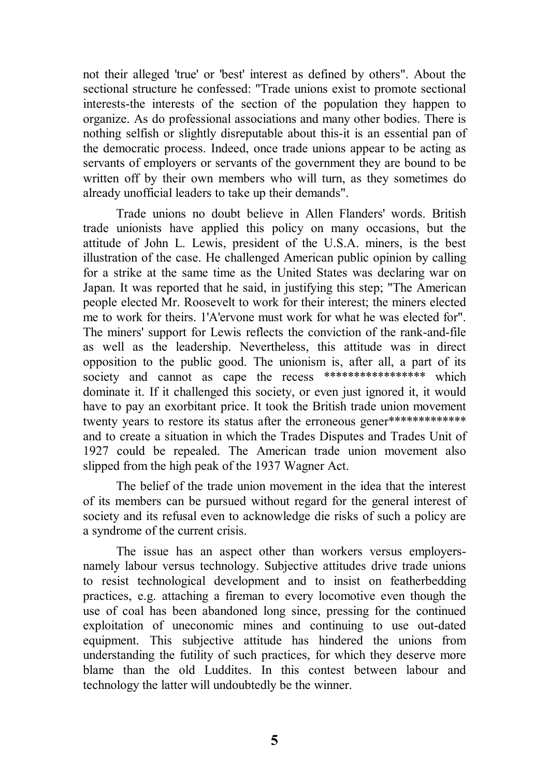not their alleged 'true' or 'best' interest as defined by others". About the sectional structure he confessed: "Trade unions exist to promote sectional interests-the interests of the section of the population they happen to organize. As do professional associations and many other bodies. There is nothing selfish or slightly disreputable about this-it is an essential pan of the democratic process. Indeed, once trade unions appear to be acting as servants of employers or servants of the government they are bound to be written off by their own members who will turn, as they sometimes do already unofficial leaders to take up their demands".

Trade unions no doubt believe in Allen Flanders' words. British trade unionists have applied this policy on many occasions, but the attitude of John L. Lewis, president of the U.S.A. miners, is the best illustration of the case. He challenged American public opinion by calling for a strike at the same time as the United States was declaring war on Japan. It was reported that he said, in justifying this step; "The American people elected Mr. Roosevelt to work for their interest; the miners elected me to work for theirs. 1'A'ervone must work for what he was elected for". The miners' support for Lewis reflects the conviction of the rank-and-file as well as the leadership. Nevertheless, this attitude was in direct opposition to the public good. The unionism is, after all, a part of its society and cannot as cape the recess \*\*\*\*\*\*\*\*\*\*\*\*\*\*\*\*\* which dominate it. If it challenged this society, or even just ignored it, it would have to pay an exorbitant price. It took the British trade union movement twenty years to restore its status after the erroneous gener\*\*\*\*\*\*\*\*\*\*\*\*\*\* and to create a situation in which the Trades Disputes and Trades Unit of 1927 could be repealed. The American trade union movement also slipped from the high peak of the 1937 Wagner Act.

The belief of the trade union movement in the idea that the interest of its members can be pursued without regard for the general interest of society and its refusal even to acknowledge die risks of such a policy are a syndrome of the current crisis.

The issue has an aspect other than workers versus employersnamely labour versus technology. Subjective attitudes drive trade unions to resist technological development and to insist on featherbedding practices, e.g. attaching a fireman to every locomotive even though the use of coal has been abandoned long since, pressing for the continued exploitation of uneconomic mines and continuing to use out-dated equipment. This subjective attitude has hindered the unions from understanding the futility of such practices, for which they deserve more blame than the old Luddites. In this contest between labour and technology the latter will undoubtedly be the winner.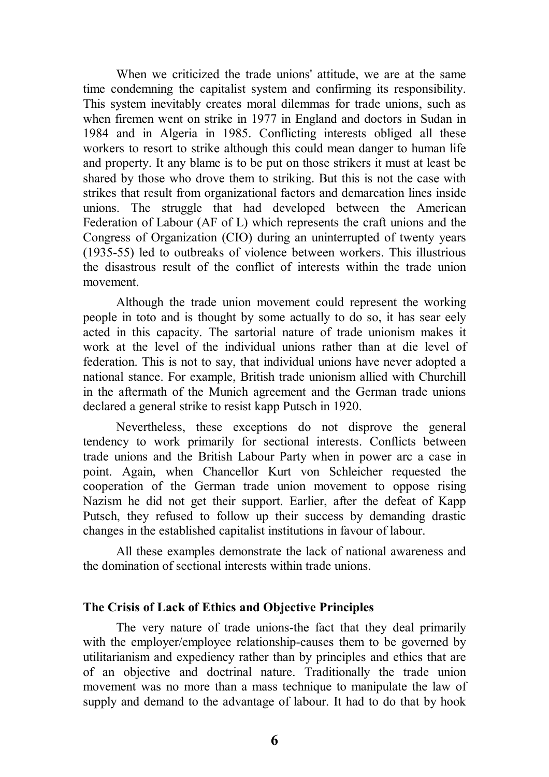When we criticized the trade unions' attitude, we are at the same time condemning the capitalist system and confirming its responsibility. This system inevitably creates moral dilemmas for trade unions, such as when firemen went on strike in 1977 in England and doctors in Sudan in 1984 and in Algeria in 1985. Conflicting interests obliged all these workers to resort to strike although this could mean danger to human life and property. It any blame is to be put on those strikers it must at least be shared by those who drove them to striking. But this is not the case with strikes that result from organizational factors and demarcation lines inside unions. The struggle that had developed between the American Federation of Labour (AF of L) which represents the craft unions and the Congress of Organization (CIO) during an uninterrupted of twenty years (1935-55) led to outbreaks of violence between workers. This illustrious the disastrous result of the conflict of interests within the trade union movement.

Although the trade union movement could represent the working people in toto and is thought by some actually to do so, it has sear eely acted in this capacity. The sartorial nature of trade unionism makes it work at the level of the individual unions rather than at die level of federation. This is not to say, that individual unions have never adopted a national stance. For example, British trade unionism allied with Churchill in the aftermath of the Munich agreement and the German trade unions declared a general strike to resist kapp Putsch in 1920.

Nevertheless, these exceptions do not disprove the general tendency to work primarily for sectional interests. Conflicts between trade unions and the British Labour Party when in power arc a case in point. Again, when Chancellor Kurt von Schleicher requested the cooperation of the German trade union movement to oppose rising Nazism he did not get their support. Earlier, after the defeat of Kapp Putsch, they refused to follow up their success by demanding drastic changes in the established capitalist institutions in favour of labour.

All these examples demonstrate the lack of national awareness and the domination of sectional interests within trade unions.

#### **The Crisis of Lack of Ethics and Objective Principles**

The very nature of trade unions-the fact that they deal primarily with the employer/employee relationship-causes them to be governed by utilitarianism and expediency rather than by principles and ethics that are of an objective and doctrinal nature. Traditionally the trade union movement was no more than a mass technique to manipulate the law of supply and demand to the advantage of labour. It had to do that by hook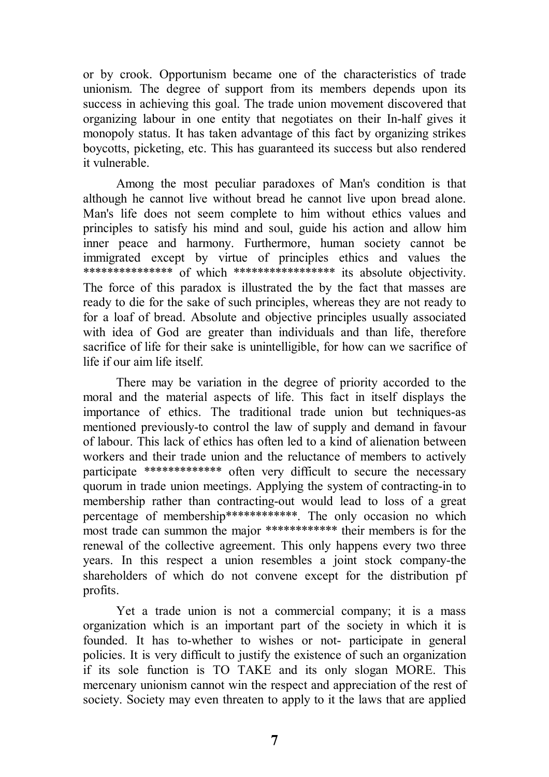or by crook. Opportunism became one of the characteristics of trade unionism. The degree of support from its members depends upon its success in achieving this goal. The trade union movement discovered that organizing labour in one entity that negotiates on their In-half gives it monopoly status. It has taken advantage of this fact by organizing strikes boycotts, picketing, etc. This has guaranteed its success but also rendered it vulnerable.

Among the most peculiar paradoxes of Man's condition is that although he cannot live without bread he cannot live upon bread alone. Man's life does not seem complete to him without ethics values and principles to satisfy his mind and soul, guide his action and allow him inner peace and harmony. Furthermore, human society cannot be immigrated except by virtue of principles ethics and values the \*\*\*\*\*\*\*\*\*\*\*\*\*\*\* of which \*\*\*\*\*\*\*\*\*\*\*\*\*\*\*\*\* its absolute objectivity. The force of this paradox is illustrated the by the fact that masses are ready to die for the sake of such principles, whereas they are not ready to for a loaf of bread. Absolute and objective principles usually associated with idea of God are greater than individuals and than life, therefore sacrifice of life for their sake is unintelligible, for how can we sacrifice of life if our aim life itself.

There may be variation in the degree of priority accorded to the moral and the material aspects of life. This fact in itself displays the importance of ethics. The traditional trade union but techniques-as mentioned previously-to control the law of supply and demand in favour of labour. This lack of ethics has often led to a kind of alienation between workers and their trade union and the reluctance of members to actively participate \*\*\*\*\*\*\*\*\*\*\*\*\* often very difficult to secure the necessary quorum in trade union meetings. Applying the system of contracting-in to membership rather than contracting-out would lead to loss of a great percentage of membership\*\*\*\*\*\*\*\*\*\*\*\*\*. The only occasion no which most trade can summon the major \*\*\*\*\*\*\*\*\*\*\*\*\* their members is for the renewal of the collective agreement. This only happens every two three years. In this respect a union resembles a joint stock company-the shareholders of which do not convene except for the distribution pf profits.

Yet a trade union is not a commercial company; it is a mass organization which is an important part of the society in which it is founded. It has to-whether to wishes or not- participate in general policies. It is very difficult to justify the existence of such an organization if its sole function is TO TAKE and its only slogan MORE. This mercenary unionism cannot win the respect and appreciation of the rest of society. Society may even threaten to apply to it the laws that are applied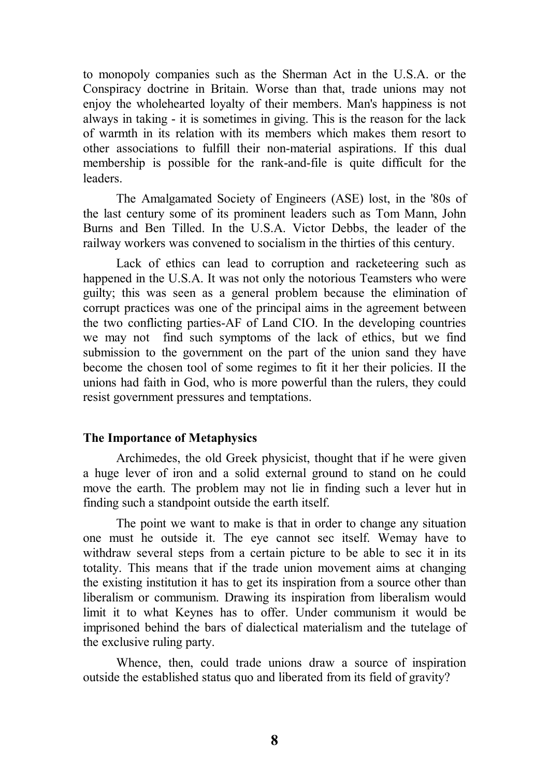to monopoly companies such as the Sherman Act in the U.S.A. or the Conspiracy doctrine in Britain. Worse than that, trade unions may not enjoy the wholehearted loyalty of their members. Man's happiness is not always in taking - it is sometimes in giving. This is the reason for the lack of warmth in its relation with its members which makes them resort to other associations to fulfill their non-material aspirations. If this dual membership is possible for the rank-and-file is quite difficult for the leaders.

The Amalgamated Society of Engineers (ASE) lost, in the '80s of the last century some of its prominent leaders such as Tom Mann, John Burns and Ben Tilled. In the U.S.A. Victor Debbs, the leader of the railway workers was convened to socialism in the thirties of this century.

Lack of ethics can lead to corruption and racketeering such as happened in the U.S.A. It was not only the notorious Teamsters who were guilty; this was seen as a general problem because the elimination of corrupt practices was one of the principal aims in the agreement between the two conflicting parties-AF of Land CIO. In the developing countries we may not find such symptoms of the lack of ethics, but we find submission to the government on the part of the union sand they have become the chosen tool of some regimes to fit it her their policies. II the unions had faith in God, who is more powerful than the rulers, they could resist government pressures and temptations.

#### **The Importance of Metaphysics**

Archimedes, the old Greek physicist, thought that if he were given a huge lever of iron and a solid external ground to stand on he could move the earth. The problem may not lie in finding such a lever hut in finding such a standpoint outside the earth itself.

The point we want to make is that in order to change any situation one must he outside it. The eye cannot sec itself. Wemay have to withdraw several steps from a certain picture to be able to sec it in its totality. This means that if the trade union movement aims at changing the existing institution it has to get its inspiration from a source other than liberalism or communism. Drawing its inspiration from liberalism would limit it to what Keynes has to offer. Under communism it would be imprisoned behind the bars of dialectical materialism and the tutelage of the exclusive ruling party.

Whence, then, could trade unions draw a source of inspiration outside the established status quo and liberated from its field of gravity?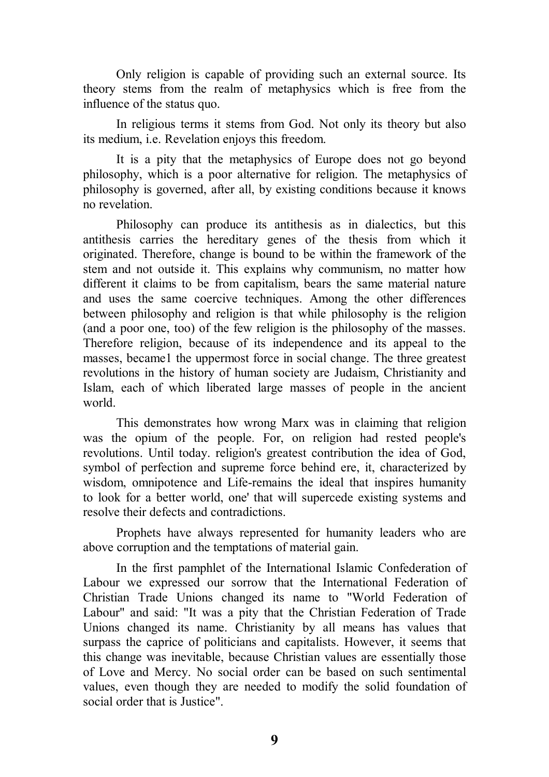Only religion is capable of providing such an external source. Its theory stems from the realm of metaphysics which is free from the influence of the status quo.

In religious terms it stems from God. Not only its theory but also its medium, i.e. Revelation enjoys this freedom.

It is a pity that the metaphysics of Europe does not go beyond philosophy, which is a poor alternative for religion. The metaphysics of philosophy is governed, after all, by existing conditions because it knows no revelation.

Philosophy can produce its antithesis as in dialectics, but this antithesis carries the hereditary genes of the thesis from which it originated. Therefore, change is bound to be within the framework of the stem and not outside it. This explains why communism, no matter how different it claims to be from capitalism, bears the same material nature and uses the same coercive techniques. Among the other differences between philosophy and religion is that while philosophy is the religion (and a poor one, too) of the few religion is the philosophy of the masses. Therefore religion, because of its independence and its appeal to the masses, became1 the uppermost force in social change. The three greatest revolutions in the history of human society are Judaism, Christianity and Islam, each of which liberated large masses of people in the ancient world.

This demonstrates how wrong Marx was in claiming that religion was the opium of the people. For, on religion had rested people's revolutions. Until today. religion's greatest contribution the idea of God, symbol of perfection and supreme force behind ere, it, characterized by wisdom, omnipotence and Life-remains the ideal that inspires humanity to look for a better world, one' that will supercede existing systems and resolve their defects and contradictions.

Prophets have always represented for humanity leaders who are above corruption and the temptations of material gain.

In the first pamphlet of the International Islamic Confederation of Labour we expressed our sorrow that the International Federation of Christian Trade Unions changed its name to "World Federation of Labour" and said: "It was a pity that the Christian Federation of Trade Unions changed its name. Christianity by all means has values that surpass the caprice of politicians and capitalists. However, it seems that this change was inevitable, because Christian values are essentially those of Love and Mercy. No social order can be based on such sentimental values, even though they are needed to modify the solid foundation of social order that is Justice".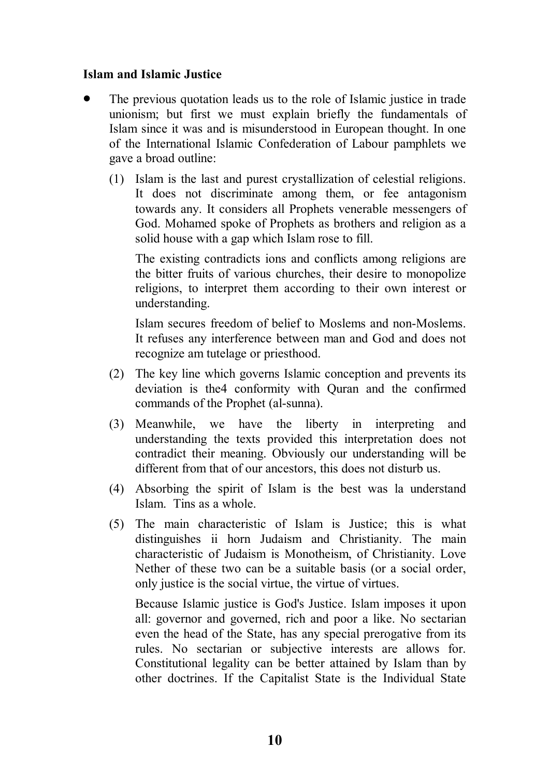### **Islam and Islamic Justice**

- The previous quotation leads us to the role of Islamic justice in trade unionism; but first we must explain briefly the fundamentals of Islam since it was and is misunderstood in European thought. In one of the International Islamic Confederation of Labour pamphlets we gave a broad outline:
	- (1) Islam is the last and purest crystallization of celestial religions. It does not discriminate among them, or fee antagonism towards any. It considers all Prophets venerable messengers of God. Mohamed spoke of Prophets as brothers and religion as a solid house with a gap which Islam rose to fill.

The existing contradicts ions and conflicts among religions are the bitter fruits of various churches, their desire to monopolize religions, to interpret them according to their own interest or understanding.

Islam secures freedom of belief to Moslems and non-Moslems. It refuses any interference between man and God and does not recognize am tutelage or priesthood.

- (2) The key line which governs Islamic conception and prevents its deviation is the4 conformity with Quran and the confirmed commands of the Prophet (al-sunna).
- (3) Meanwhile, we have the liberty in interpreting and understanding the texts provided this interpretation does not contradict their meaning. Obviously our understanding will be different from that of our ancestors, this does not disturb us.
- (4) Absorbing the spirit of Islam is the best was la understand Islam. Tins as a whole.
- (5) The main characteristic of Islam is Justice; this is what distinguishes ii horn Judaism and Christianity. The main characteristic of Judaism is Monotheism, of Christianity. Love Nether of these two can be a suitable basis (or a social order, only justice is the social virtue, the virtue of virtues.

Because Islamic justice is God's Justice. Islam imposes it upon all: governor and governed, rich and poor a like. No sectarian even the head of the State, has any special prerogative from its rules. No sectarian or subjective interests are allows for. Constitutional legality can be better attained by Islam than by other doctrines. If the Capitalist State is the Individual State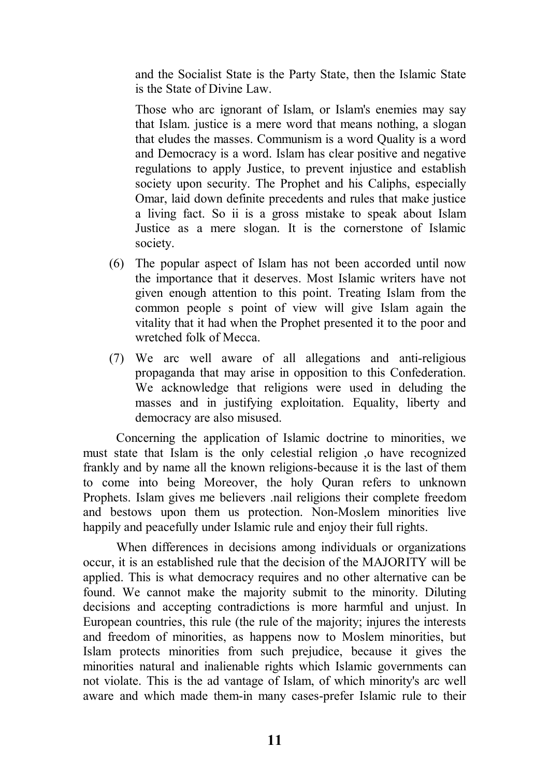and the Socialist State is the Party State, then the Islamic State is the State of Divine Law.

Those who arc ignorant of Islam, or Islam's enemies may say that Islam. justice is a mere word that means nothing, a slogan that eludes the masses. Communism is a word Quality is a word and Democracy is a word. Islam has clear positive and negative regulations to apply Justice, to prevent injustice and establish society upon security. The Prophet and his Caliphs, especially Omar, laid down definite precedents and rules that make justice a living fact. So ii is a gross mistake to speak about Islam Justice as a mere slogan. It is the cornerstone of Islamic society.

- (6) The popular aspect of Islam has not been accorded until now the importance that it deserves. Most Islamic writers have not given enough attention to this point. Treating Islam from the common people s point of view will give Islam again the vitality that it had when the Prophet presented it to the poor and wretched folk of Mecca.
- (7) We arc well aware of all allegations and anti-religious propaganda that may arise in opposition to this Confederation. We acknowledge that religions were used in deluding the masses and in justifying exploitation. Equality, liberty and democracy are also misused.

Concerning the application of Islamic doctrine to minorities, we must state that Islam is the only celestial religion ,o have recognized frankly and by name all the known religions-because it is the last of them to come into being Moreover, the holy Quran refers to unknown Prophets. Islam gives me believers .nail religions their complete freedom and bestows upon them us protection. Non-Moslem minorities live happily and peacefully under Islamic rule and enjoy their full rights.

When differences in decisions among individuals or organizations occur, it is an established rule that the decision of the MAJORITY will be applied. This is what democracy requires and no other alternative can be found. We cannot make the majority submit to the minority. Diluting decisions and accepting contradictions is more harmful and unjust. In European countries, this rule (the rule of the majority; injures the interests and freedom of minorities, as happens now to Moslem minorities, but Islam protects minorities from such prejudice, because it gives the minorities natural and inalienable rights which Islamic governments can not violate. This is the ad vantage of Islam, of which minority's arc well aware and which made them-in many cases-prefer Islamic rule to their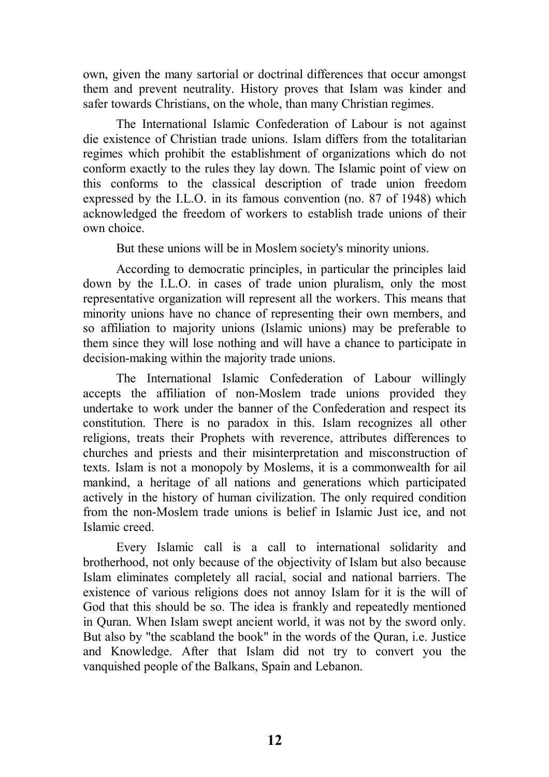own, given the many sartorial or doctrinal differences that occur amongst them and prevent neutrality. History proves that Islam was kinder and safer towards Christians, on the whole, than many Christian regimes.

The International Islamic Confederation of Labour is not against die existence of Christian trade unions. Islam differs from the totalitarian regimes which prohibit the establishment of organizations which do not conform exactly to the rules they lay down. The Islamic point of view on this conforms to the classical description of trade union freedom expressed by the I.L.O. in its famous convention (no. 87 of 1948) which acknowledged the freedom of workers to establish trade unions of their own choice.

But these unions will be in Moslem society's minority unions.

According to democratic principles, in particular the principles laid down by the I.L.O. in cases of trade union pluralism, only the most representative organization will represent all the workers. This means that minority unions have no chance of representing their own members, and so affiliation to majority unions (Islamic unions) may be preferable to them since they will lose nothing and will have a chance to participate in decision-making within the majority trade unions.

The International Islamic Confederation of Labour willingly accepts the affiliation of non-Moslem trade unions provided they undertake to work under the banner of the Confederation and respect its constitution. There is no paradox in this. Islam recognizes all other religions, treats their Prophets with reverence, attributes differences to churches and priests and their misinterpretation and misconstruction of texts. Islam is not a monopoly by Moslems, it is a commonwealth for ail mankind, a heritage of all nations and generations which participated actively in the history of human civilization. The only required condition from the non-Moslem trade unions is belief in Islamic Just ice, and not Islamic creed.

Every Islamic call is a call to international solidarity and brotherhood, not only because of the objectivity of Islam but also because Islam eliminates completely all racial, social and national barriers. The existence of various religions does not annoy Islam for it is the will of God that this should be so. The idea is frankly and repeatedly mentioned in Quran. When Islam swept ancient world, it was not by the sword only. But also by "the scabland the book" in the words of the Quran, i.e. Justice and Knowledge. After that Islam did not try to convert you the vanquished people of the Balkans, Spain and Lebanon.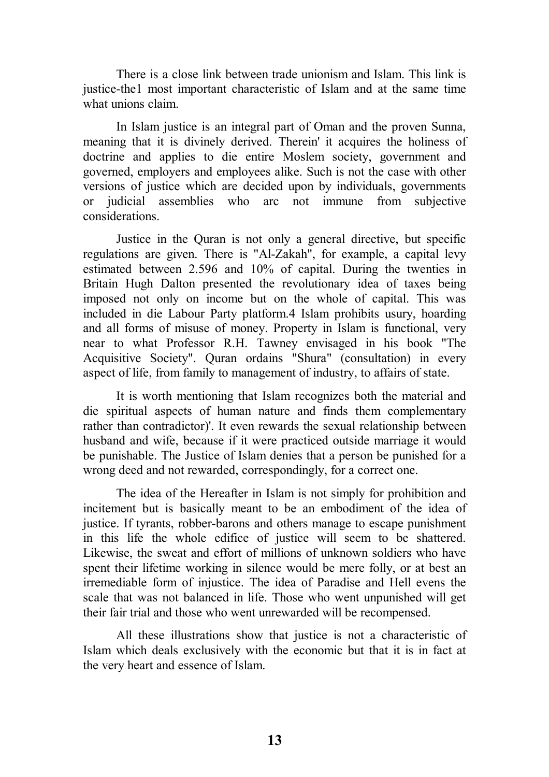There is a close link between trade unionism and Islam. This link is justice-the1 most important characteristic of Islam and at the same time what unions claim.

In Islam justice is an integral part of Oman and the proven Sunna, meaning that it is divinely derived. Therein' it acquires the holiness of doctrine and applies to die entire Moslem society, government and governed, employers and employees alike. Such is not the case with other versions of justice which are decided upon by individuals, governments or judicial assemblies who arc not immune from subjective considerations.

Justice in the Quran is not only a general directive, but specific regulations are given. There is "Al-Zakah", for example, a capital levy estimated between 2.596 and 10% of capital. During the twenties in Britain Hugh Dalton presented the revolutionary idea of taxes being imposed not only on income but on the whole of capital. This was included in die Labour Party platform.4 Islam prohibits usury, hoarding and all forms of misuse of money. Property in Islam is functional, very near to what Professor R.H. Tawney envisaged in his book "The Acquisitive Society". Quran ordains "Shura" (consultation) in every aspect of life, from family to management of industry, to affairs of state.

It is worth mentioning that Islam recognizes both the material and die spiritual aspects of human nature and finds them complementary rather than contradictor)'. It even rewards the sexual relationship between husband and wife, because if it were practiced outside marriage it would be punishable. The Justice of Islam denies that a person be punished for a wrong deed and not rewarded, correspondingly, for a correct one.

The idea of the Hereafter in Islam is not simply for prohibition and incitement but is basically meant to be an embodiment of the idea of justice. If tyrants, robber-barons and others manage to escape punishment in this life the whole edifice of justice will seem to be shattered. Likewise, the sweat and effort of millions of unknown soldiers who have spent their lifetime working in silence would be mere folly, or at best an irremediable form of injustice. The idea of Paradise and Hell evens the scale that was not balanced in life. Those who went unpunished will get their fair trial and those who went unrewarded will be recompensed.

All these illustrations show that justice is not a characteristic of Islam which deals exclusively with the economic but that it is in fact at the very heart and essence of Islam.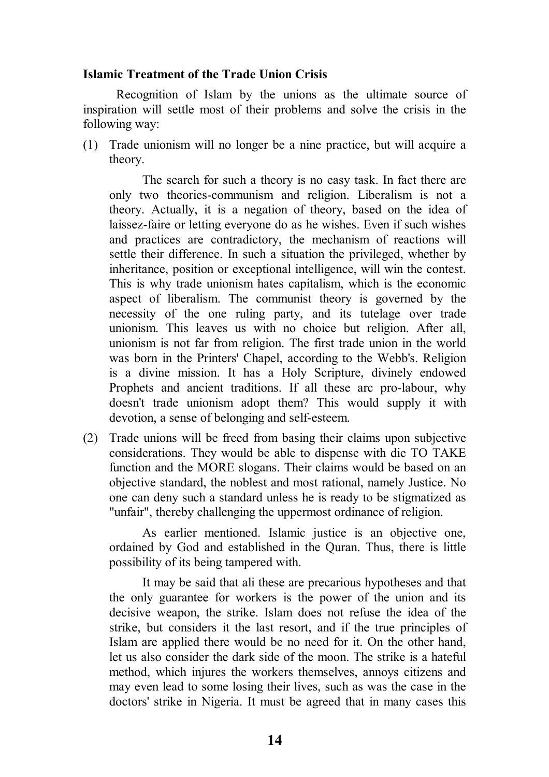#### **Islamic Treatment of the Trade Union Crisis**

Recognition of Islam by the unions as the ultimate source of inspiration will settle most of their problems and solve the crisis in the following way:

(1) Trade unionism will no longer be a nine practice, but will acquire a theory.

The search for such a theory is no easy task. In fact there are only two theories-communism and religion. Liberalism is not a theory. Actually, it is a negation of theory, based on the idea of laissez-faire or letting everyone do as he wishes. Even if such wishes and practices are contradictory, the mechanism of reactions will settle their difference. In such a situation the privileged, whether by inheritance, position or exceptional intelligence, will win the contest. This is why trade unionism hates capitalism, which is the economic aspect of liberalism. The communist theory is governed by the necessity of the one ruling party, and its tutelage over trade unionism. This leaves us with no choice but religion. After all, unionism is not far from religion. The first trade union in the world was born in the Printers' Chapel, according to the Webb's. Religion is a divine mission. It has a Holy Scripture, divinely endowed Prophets and ancient traditions. If all these arc pro-labour, why doesn't trade unionism adopt them? This would supply it with devotion, a sense of belonging and self-esteem.

(2) Trade unions will be freed from basing their claims upon subjective considerations. They would be able to dispense with die TO TAKE function and the MORE slogans. Their claims would be based on an objective standard, the noblest and most rational, namely Justice. No one can deny such a standard unless he is ready to be stigmatized as "unfair", thereby challenging the uppermost ordinance of religion.

As earlier mentioned. Islamic justice is an objective one, ordained by God and established in the Quran. Thus, there is little possibility of its being tampered with.

It may be said that ali these are precarious hypotheses and that the only guarantee for workers is the power of the union and its decisive weapon, the strike. Islam does not refuse the idea of the strike, but considers it the last resort, and if the true principles of Islam are applied there would be no need for it. On the other hand, let us also consider the dark side of the moon. The strike is a hateful method, which injures the workers themselves, annoys citizens and may even lead to some losing their lives, such as was the case in the doctors' strike in Nigeria. It must be agreed that in many cases this